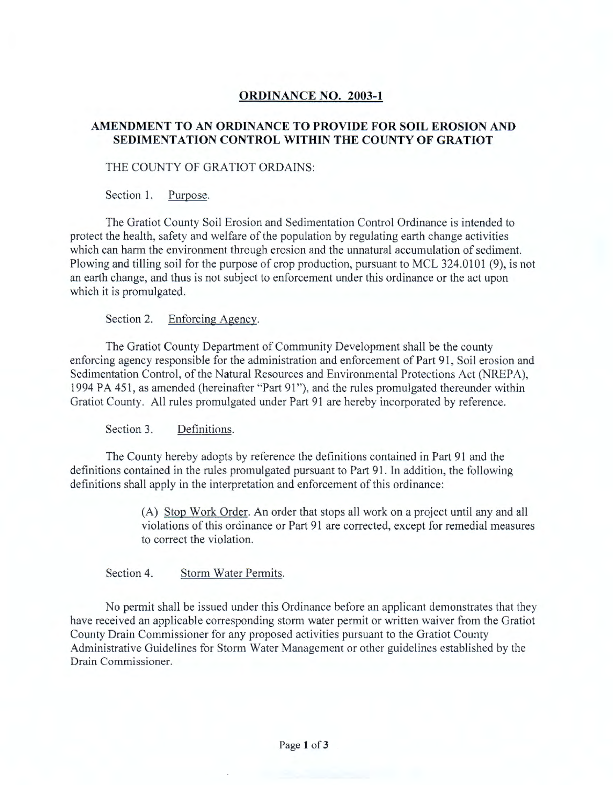# **ORDINANCE NO. 2003-1**

## **AMENDMENT TO AN ORDINANCE TO PROVIDE FOR SOIL EROSION AND SEDIMENTATION CONTROL WITHIN THE COUNTY OF GRATIOT**

### THE COUNTY OF GRATIOT ORDAINS:

Section 1. Purpose.

The Gratiot County Soil Erosion and Sedimentation Control Ordinance is intended to protect the health, safety and welfare of the population by regulating earth change activities which can harm the environment through erosion and the unnatural accumulation of sediment. Plowing and tilling soil for the purpose of crop production, pursuant to MCL 324.0101 (9), is not an earth change, and thus is not subject to enforcement under this ordinance or the act upon which it is promulgated.

Section 2. Enforcing Agency.

The Gratiot County Department of Community Development shall be the county enforcing agency responsible for the administration and enforcement of Part 91, Soil erosion and Sedimentation Control, of the Natural Resources and Environmental Protections Act (NREPA), 1994 PA 451, as amended (hereinafter "Part 91"), and the rules promulgated thereunder within Gratiot County. All rules promulgated under Part 91 are hereby incorporated by reference.

Section 3. Definitions.

The County hereby adopts by reference the definitions contained in Part 91 and the definitions contained in the rules promulgated pursuant to Part 91. In addition, the following definitions shall apply in the interpretation and enforcement of this ordinance:

> (A) Stop Work Order. An order that stops all work on a project until any and all violations of this ordinance or Part 91 are corrected, except for remedial measures to correct the violation.

Section 4. Storm Water Permits.

No permit shall be issued under this Ordinance before an applicant demonstrates that they have received an applicable corresponding storm water permit or written waiver from the Gratiot County Drain Commissioner for any proposed activities pursuant to the Gratiot County Administrative Guidelines for Storm Water Management or other guidelines established by the Drain Commissioner.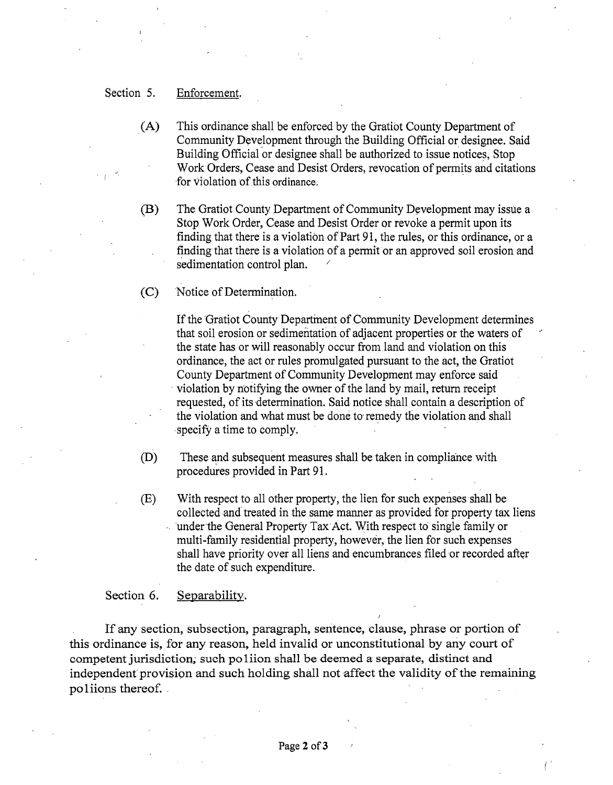### Section 5. Enforcement.

- . (A) This ordinance shall be enforced by the Gratiot County Department of Community Development through the Building Official or designee. Said Building Official or designee shall be authorized to issue notices. Stop Work Orders, Cease and Desist Orders, revocation of permits and citations for violation of this ordinance.
- (B) The Gratiot County Department of Community Development may issue a Stop Work Order, Cease and Desist Order or revoke a permit upon its finding that there is a violation of Part 91, the rules, or this ordinance, or a finding that there is a violation of a permit or an approved soil erosion and sedimentation control plan.
- (C) ·Notice of Determination.

If the Gratiot County Department of Community Development determines that soil erosion or sedimentation of adjacent properties or the waters of the state has or will reasonably occur from land and violation on this ordinance, the act or rules promulgated pursuant to the act, the Gratiot County Department of Community Development may enforce said violation by notifying the owner of the land by mail, return receipt requested, of its determination. Said notice shall contain a description of the violation and what must be done to remedy the violation and shall specify a time to comply.

(D) These and subsequent measures shall be taken in compliance with procedures provided in Part 91.

(E) With respect to all other property, the lien for such expenses shall be collected and· treated in the same manner as provided for property tax liens under the General Properfy Tax Act. With respect to single family or multi-family residential property, however, the lien for such expenses shall have priority over all liens and encumbrances filed or recorded after the date of such expenditure.

#### Section 6. Separability.

If any section, subsection, paragraph, sentence, clause, phrase or portion of this ordinance is, for any reason, held invalid or unconstitutional by any court of competent jurisdiction,; such po liion shall be deemed a separate, distinct and independent provision and such holding shall not affect the validity of the remaining poliions thereof.